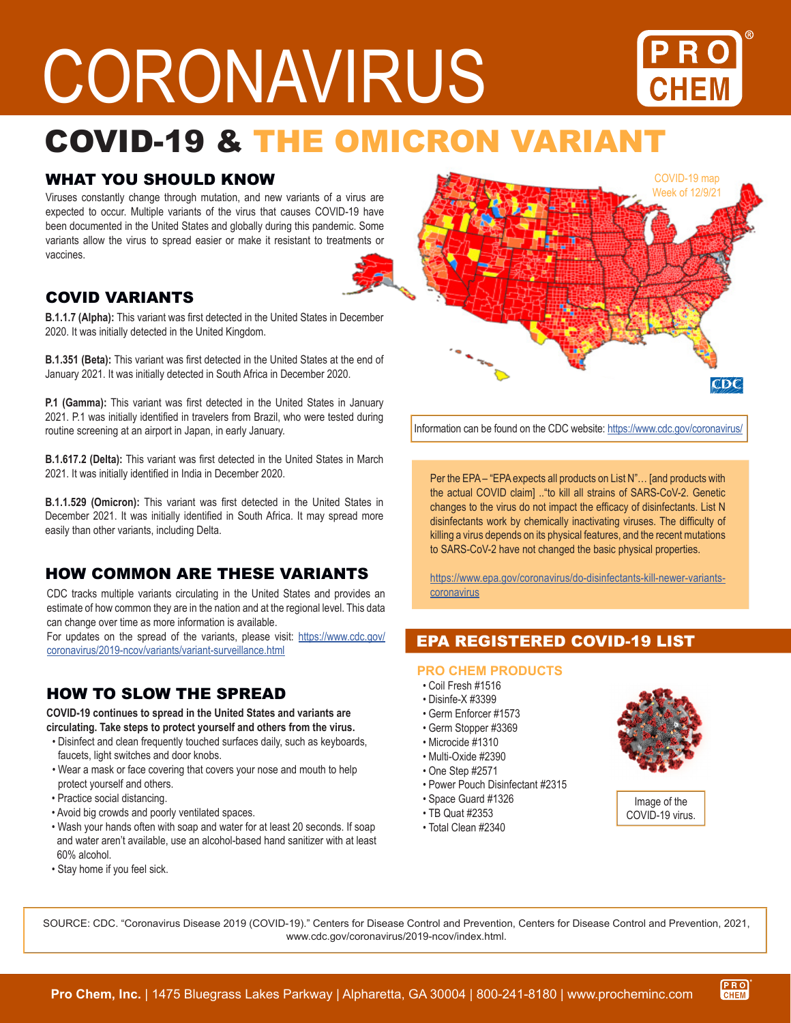# CORONAVIRUS



# COVID-19 & THE OMICRON VARIANT

# WHAT YOU SHOULD KNOW

Viruses constantly change through mutation, and new variants of a virus are expected to occur. Multiple variants of the virus that causes COVID-19 have been documented in the United States and globally during this pandemic. Some variants allow the virus to spread easier or make it resistant to treatments or vaccines.



# COVID VARIANTS

**B.1.1.7 (Alpha):** This variant was first detected in the United States in December 2020. It was initially detected in the United Kingdom.

**B.1.351 (Beta):** This variant was first detected in the United States at the end of January 2021. It was initially detected in South Africa in December 2020.

**P.1 (Gamma):** This variant was first detected in the United States in January 2021. P.1 was initially identified in travelers from Brazil, who were tested during routine screening at an airport in Japan, in early January.

**B.1.617.2 (Delta):** This variant was first detected in the United States in March 2021. It was initially identified in India in December 2020.

**B.1.1.529 (Omicron):** This variant was first detected in the United States in December 2021. It was initially identified in South Africa. It may spread more easily than other variants, including Delta.

# HOW COMMON ARE THESE VARIANTS

CDC tracks multiple variants circulating in the United States and provides an estimate of how common they are in the nation and at the regional level. This data can change over time as more information is available.

For updates on the spread of the variants, please visit: [https://www.cdc.gov/](https://www.cdc.gov/coronavirus/2019-ncov/variants/variant-surveillance.html) [coronavirus/2019-ncov/variants/variant-surveillance.html](https://www.cdc.gov/coronavirus/2019-ncov/variants/variant-surveillance.html)

# HOW TO SLOW THE SPREAD

**COVID-19 continues to spread in the United States and variants are circulating. Take steps to protect yourself and others from the virus.**

- Disinfect and clean frequently touched surfaces daily, such as keyboards, faucets, light switches and door knobs.
- Wear a mask or face covering that covers your nose and mouth to help protect yourself and others.
- Practice social distancing.
- Avoid big crowds and poorly ventilated spaces.
- Wash your hands often with soap and water for at least 20 seconds. If soap and water aren't available, use an alcohol-based hand sanitizer with at least 60% alcohol.
- Stay home if you feel sick.

COVID-19 map Week of 12/9/21 $CDC$ 

Information can be found on the CDC website:<https://www.cdc.gov/coronavirus/>

Per the EPA – "EPA expects all products on List N"… [and products with the actual COVID claim] .."to kill all strains of SARS-CoV-2. Genetic changes to the virus do not impact the efficacy of disinfectants. List N disinfectants work by chemically inactivating viruses. The difficulty of killing a virus depends on its physical features, and the recent mutations to SARS-CoV-2 have not changed the basic physical properties.

[https://www.epa.gov/coronavirus/do-disinfectants-kill-newer-variants](https://www.epa.gov/coronavirus/do-disinfectants-kill-newer-variants-coronavirus)[coronavirus](https://www.epa.gov/coronavirus/do-disinfectants-kill-newer-variants-coronavirus)

# EPA REGISTERED COVID-19 LIST

#### **PRO CHEM PRODUCTS**

- Coil Fresh #1516
- Disinfe-X #3399
- Germ Enforcer #1573
- Germ Stopper #3369
- Microcide #1310
- Multi-Oxide #2390
- One Step #2571
- Power Pouch Disinfectant #2315
- Space Guard #1326
- TB Quat #2353
- Total Clean #2340



Image of the COVID-19 virus.

> PRO **CHEM**

SOURCE: CDC. "Coronavirus Disease 2019 (COVID-19)." Centers for Disease Control and Prevention, Centers for Disease Control and Prevention, 2021, www.cdc.gov/coronavirus/2019-ncov/index.html.